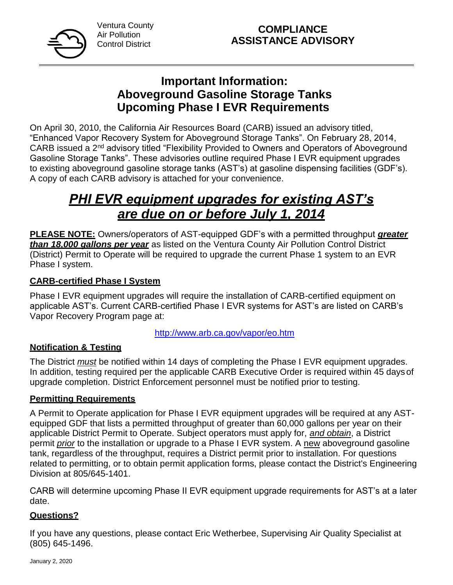

Ventura County Air Pollution Control District

# **Important Information: Aboveground Gasoline Storage Tanks Upcoming Phase I EVR Requirements**

On April 30, 2010, the California Air Resources Board (CARB) issued an advisory titled, "Enhanced Vapor Recovery System for Aboveground Storage Tanks". On February 28, 2014, CARB issued a 2<sup>nd</sup> advisory titled "Flexibility Provided to Owners and Operators of Aboveground Gasoline Storage Tanks". These advisories outline required Phase I EVR equipment upgrades to existing aboveground gasoline storage tanks (AST's) at gasoline dispensing facilities (GDF's). A copy of each CARB advisory is attached for your convenience.

# *PHI EVR equipment upgrades for existing AST's are due on or before July 1, 2014*

**PLEASE NOTE:** Owners/operators of AST-equipped GDF's with a permitted throughput *greater than 18,000 gallons per year* as listed on the Ventura County Air Pollution Control District (District) Permit to Operate will be required to upgrade the current Phase 1 system to an EVR Phase I system.

# **CARB-certified Phase I System**

Phase I EVR equipment upgrades will require the installation of CARB-certified equipment on applicable AST's. Current CARB-certified Phase I EVR systems for AST's are listed on CARB's Vapor Recovery Program page at:

<http://www.arb.ca.gov/vapor/eo.htm>

# **Notification & Testing**

The District *must* be notified within 14 days of completing the Phase I EVR equipment upgrades. In addition, testing required per the applicable CARB Executive Order is required within 45 days of upgrade completion. District Enforcement personnel must be notified prior to testing.

### **Permitting Requirements**

A Permit to Operate application for Phase I EVR equipment upgrades will be required at any ASTequipped GDF that lists a permitted throughput of greater than 60,000 gallons per year on their applicable District Permit to Operate. Subject operators must apply for, *and obtain*, a District permit *prior* to the installation or upgrade to a Phase I EVR system. A new aboveground gasoline tank, regardless of the throughput, requires a District permit prior to installation. For questions related to permitting, or to obtain permit application forms, please contact the District's Engineering Division at 805/645-1401.

CARB will determine upcoming Phase II EVR equipment upgrade requirements for AST's at a later date.

# **Questions?**

If you have any questions, please contact Eric Wetherbee, Supervising Air Quality Specialist at (805) 645-1496.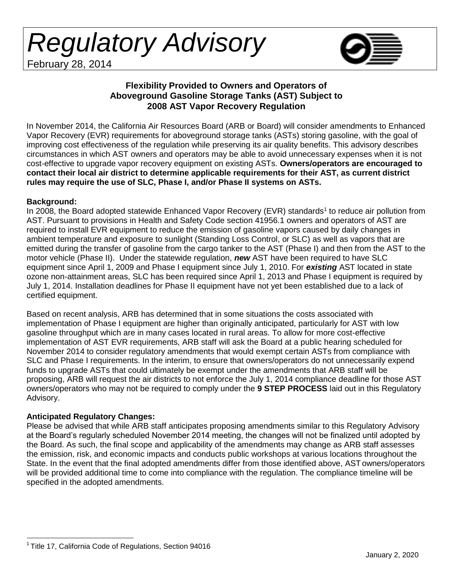*Regulatory Advisory* February 28, 2014



#### **Flexibility Provided to Owners and Operators of Aboveground Gasoline Storage Tanks (AST) Subject to 2008 AST Vapor Recovery Regulation**

In November 2014, the California Air Resources Board (ARB or Board) will consider amendments to Enhanced Vapor Recovery (EVR) requirements for aboveground storage tanks (ASTs) storing gasoline, with the goal of improving cost effectiveness of the regulation while preserving its air quality benefits. This advisory describes circumstances in which AST owners and operators may be able to avoid unnecessary expenses when it is not cost-effective to upgrade vapor recovery equipment on existing ASTs. **Owners/operators are encouraged to contact their local air district to determine applicable requirements for their AST, as current district rules may require the use of SLC, Phase I, and/or Phase II systems on ASTs.**

#### **Background:**

In 2008, the Board adopted statewide Enhanced Vapor Recovery (EVR) standards<sup>1</sup> to reduce air pollution from AST. Pursuant to provisions in Health and Safety Code section 41956.1 owners and operators of AST are required to install EVR equipment to reduce the emission of gasoline vapors caused by daily changes in ambient temperature and exposure to sunlight (Standing Loss Control, or SLC) as well as vapors that are emitted during the transfer of gasoline from the cargo tanker to the AST (Phase I) and then from the AST to the motor vehicle (Phase II). Under the statewide regulation, *new* AST have been required to have SLC equipment since April 1, 2009 and Phase I equipment since July 1, 2010. For *existing* AST located in state ozone non-attainment areas, SLC has been required since April 1, 2013 and Phase I equipment is required by July 1, 2014. Installation deadlines for Phase II equipment have not yet been established due to a lack of certified equipment.

Based on recent analysis, ARB has determined that in some situations the costs associated with implementation of Phase I equipment are higher than originally anticipated, particularly for AST with low gasoline throughput which are in many cases located in rural areas. To allow for more cost-effective implementation of AST EVR requirements, ARB staff will ask the Board at a public hearing scheduled for November 2014 to consider regulatory amendments that would exempt certain ASTs from compliance with SLC and Phase I requirements. In the interim, to ensure that owners/operators do not unnecessarily expend funds to upgrade ASTs that could ultimately be exempt under the amendments that ARB staff will be proposing, ARB will request the air districts to not enforce the July 1, 2014 compliance deadline for those AST owners/operators who may not be required to comply under the **9 STEP PROCESS** laid out in this Regulatory Advisory.

#### **Anticipated Regulatory Changes:**

Please be advised that while ARB staff anticipates proposing amendments similar to this Regulatory Advisory at the Board's regularly scheduled November 2014 meeting, the changes will not be finalized until adopted by the Board. As such, the final scope and applicability of the amendments may change as ARB staff assesses the emission, risk, and economic impacts and conducts public workshops at various locations throughout the State. In the event that the final adopted amendments differ from those identified above, ASTowners/operators will be provided additional time to come into compliance with the regulation. The compliance timeline will be specified in the adopted amendments.

<sup>&</sup>lt;sup>1</sup> Title 17, California Code of Regulations, Section 94016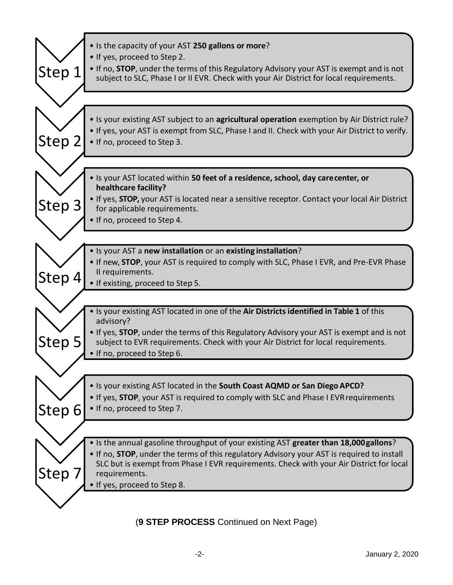| Step 1 | • Is the capacity of your AST 250 gallons or more?<br>• If yes, proceed to Step 2.<br>• If no, <b>STOP</b> , under the terms of this Regulatory Advisory your AST is exempt and is not<br>subject to SLC, Phase I or II EVR. Check with your Air District for local requirements. |
|--------|-----------------------------------------------------------------------------------------------------------------------------------------------------------------------------------------------------------------------------------------------------------------------------------|
|        |                                                                                                                                                                                                                                                                                   |
| Step 2 | • Is your existing AST subject to an agricultural operation exemption by Air District rule?<br>. If yes, your AST is exempt from SLC, Phase I and II. Check with your Air District to verify.<br>• If no, proceed to Step 3.                                                      |
|        |                                                                                                                                                                                                                                                                                   |
|        | . Is your AST located within 50 feet of a residence, school, day carecenter, or<br>healthcare facility?                                                                                                                                                                           |
| Step 3 | . If yes, <b>STOP</b> , your AST is located near a sensitive receptor. Contact your local Air District<br>for applicable requirements.<br>• If no, proceed to Step 4.                                                                                                             |
|        |                                                                                                                                                                                                                                                                                   |
|        | • Is your AST a new installation or an existing installation?<br>. If new, STOP, your AST is required to comply with SLC, Phase I EVR, and Pre-EVR Phase                                                                                                                          |
| Step 4 | II requirements.<br>• If existing, proceed to Step 5.                                                                                                                                                                                                                             |
|        |                                                                                                                                                                                                                                                                                   |
|        | . Is your existing AST located in one of the Air Districts identified in Table 1 of this<br>advisory?                                                                                                                                                                             |
| Step 5 | . If yes, STOP, under the terms of this Regulatory Advisory your AST is exempt and is not<br>subject to EVR requirements. Check with your Air District for local requirements.<br>. If no, proceed to Step 6.                                                                     |
|        |                                                                                                                                                                                                                                                                                   |
|        | . Is your existing AST located in the South Coast AQMD or San Diego APCD?<br>. If yes, STOP, your AST is required to comply with SLC and Phase I EVR requirements                                                                                                                 |
| Step 6 | • If no, proceed to Step 7.                                                                                                                                                                                                                                                       |
|        | • Is the annual gasoline throughput of your existing AST greater than 18,000 gallons?                                                                                                                                                                                             |
|        | . If no, <b>STOP</b> , under the terms of this regulatory Advisory your AST is required to install                                                                                                                                                                                |
| Step 7 | SLC but is exempt from Phase I EVR requirements. Check with your Air District for local<br>requirements.<br>. If yes, proceed to Step 8.                                                                                                                                          |
|        |                                                                                                                                                                                                                                                                                   |

(**9 STEP PROCESS** Continued on Next Page)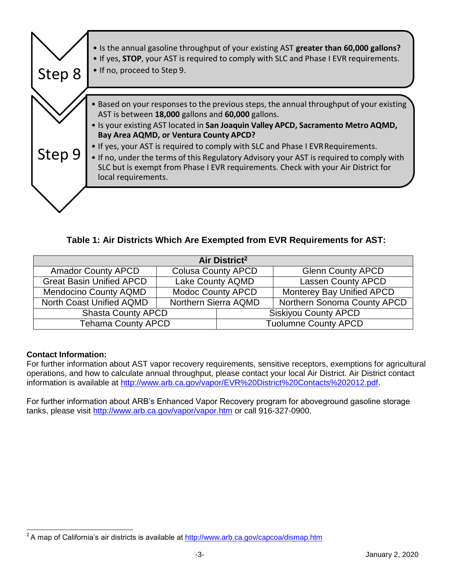

**Table 1: Air Districts Which Are Exempted from EVR Requirements for AST:**

| Air District <sup>2</sup>                        |                           |                             |                                    |  |
|--------------------------------------------------|---------------------------|-----------------------------|------------------------------------|--|
| <b>Amador County APCD</b>                        | <b>Colusa County APCD</b> |                             | <b>Glenn County APCD</b>           |  |
| <b>Great Basin Unified APCD</b>                  | Lake County AQMD          |                             | <b>Lassen County APCD</b>          |  |
| <b>Mendocino County AQMD</b>                     | <b>Modoc County APCD</b>  |                             | <b>Monterey Bay Unified APCD</b>   |  |
| North Coast Unified AQMD<br>Northern Sierra AQMD |                           |                             | <b>Northern Sonoma County APCD</b> |  |
| <b>Shasta County APCD</b>                        |                           |                             | <b>Siskiyou County APCD</b>        |  |
| <b>Tehama County APCD</b>                        |                           | <b>Tuolumne County APCD</b> |                                    |  |

# **Contact Information:**

For further information about AST vapor recovery requirements, sensitive receptors, exemptions for agricultural operations, and how to calculate annual throughput, please contact your local Air District. Air District contact information is available at [http://www.arb.ca.gov/vapor/EVR%20District%20Contacts%202012.pdf.](http://www.arb.ca.gov/vapor/EVR%20District%20Contacts%202012.pdf)

For further information about ARB's Enhanced Vapor Recovery program for aboveground gasoline storage tanks, please visit<http://www.arb.ca.gov/vapor/vapor.htm> or call 916-327-0900.

 $2A$  map of California's air districts is available at  $<http://www.arb.ca.gov/capcoa/dismap.htm>$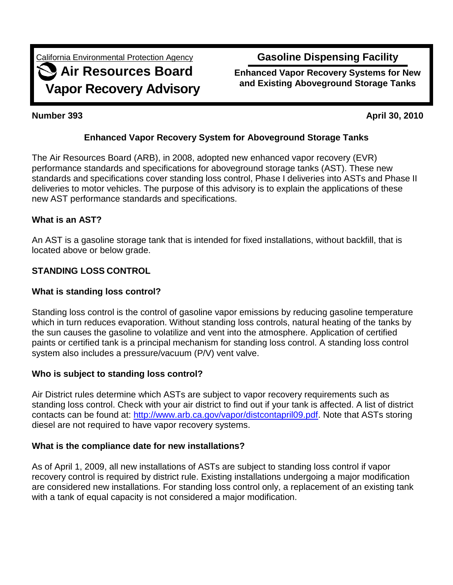California Environmental Protection Agency

# **Air Resources Board Vapor Recovery Advisory**

# **Gasoline Dispensing Facility**

**Enhanced Vapor Recovery Systems for New and Existing Aboveground Storage Tanks**

**Number 393 April 30, 2010**

# **Enhanced Vapor Recovery System for Aboveground Storage Tanks**

The Air Resources Board (ARB), in 2008, adopted new enhanced vapor recovery (EVR) performance standards and specifications for aboveground storage tanks (AST). These new standards and specifications cover standing loss control, Phase I deliveries into ASTs and Phase II deliveries to motor vehicles. The purpose of this advisory is to explain the applications of these new AST performance standards and specifications.

# **What is an AST?**

An AST is a gasoline storage tank that is intended for fixed installations, without backfill, that is located above or below grade.

# **STANDING LOSS CONTROL**

## **What is standing loss control?**

Standing loss control is the control of gasoline vapor emissions by reducing gasoline temperature which in turn reduces evaporation. Without standing loss controls, natural heating of the tanks by the sun causes the gasoline to volatilize and vent into the atmosphere. Application of certified paints or certified tank is a principal mechanism for standing loss control. A standing loss control system also includes a pressure/vacuum (P/V) vent valve.

### **Who is subject to standing loss control?**

Air District rules determine which ASTs are subject to vapor recovery requirements such as standing loss control. Check with your air district to find out if your tank is affected. A list of district contacts can be found at: [http://www.arb.ca.gov/vapor/distcontapril09.pdf.](http://www.arb.ca.gov/vapor/distcontapril09.pdf) Note that ASTs storing diesel are not required to have vapor recovery systems.

### **What is the compliance date for new installations?**

As of April 1, 2009, all new installations of ASTs are subject to standing loss control if vapor recovery control is required by district rule. Existing installations undergoing a major modification are considered new installations. For standing loss control only, a replacement of an existing tank with a tank of equal capacity is not considered a major modification.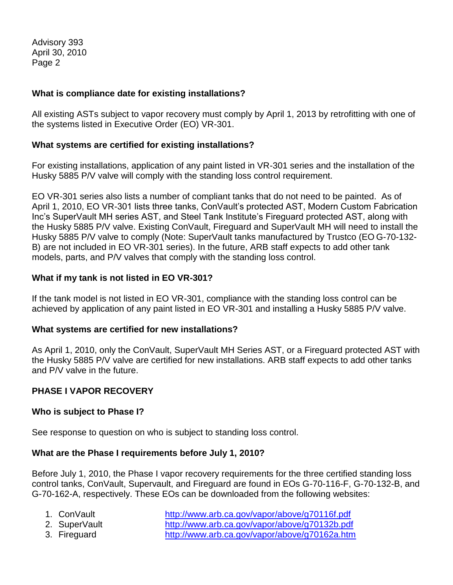#### **What is compliance date for existing installations?**

All existing ASTs subject to vapor recovery must comply by April 1, 2013 by retrofitting with one of the systems listed in Executive Order (EO) VR-301.

#### **What systems are certified for existing installations?**

For existing installations, application of any paint listed in VR-301 series and the installation of the Husky 5885 P/V valve will comply with the standing loss control requirement.

EO VR-301 series also lists a number of compliant tanks that do not need to be painted. As of April 1, 2010, EO VR-301 lists three tanks, ConVault's protected AST, Modern Custom Fabrication Inc's SuperVault MH series AST, and Steel Tank Institute's Fireguard protected AST, along with the Husky 5885 P/V valve. Existing ConVault, Fireguard and SuperVault MH will need to install the Husky 5885 P/V valve to comply (Note: SuperVault tanks manufactured by Trustco (EO G-70-132- B) are not included in EO VR-301 series). In the future, ARB staff expects to add other tank models, parts, and P/V valves that comply with the standing loss control.

#### **What if my tank is not listed in EO VR-301?**

If the tank model is not listed in EO VR-301, compliance with the standing loss control can be achieved by application of any paint listed in EO VR-301 and installing a Husky 5885 P/V valve.

#### **What systems are certified for new installations?**

As April 1, 2010, only the ConVault, SuperVault MH Series AST, or a Fireguard protected AST with the Husky 5885 P/V valve are certified for new installations. ARB staff expects to add other tanks and P/V valve in the future.

### **PHASE I VAPOR RECOVERY**

#### **Who is subject to Phase I?**

See response to question on who is subject to standing loss control.

### **What are the Phase I requirements before July 1, 2010?**

Before July 1, 2010, the Phase I vapor recovery requirements for the three certified standing loss control tanks, ConVault, Supervault, and Fireguard are found in EOs G-70-116-F, G-70-132-B, and G-70-162-A, respectively. These EOs can be downloaded from the following websites:

- 
- 

1. ConVault <http://www.arb.ca.gov/vapor/above/g70116f.pdf> 2. SuperVault <http://www.arb.ca.gov/vapor/above/g70132b.pdf> 3. Fireguard <http://www.arb.ca.gov/vapor/above/g70162a.htm>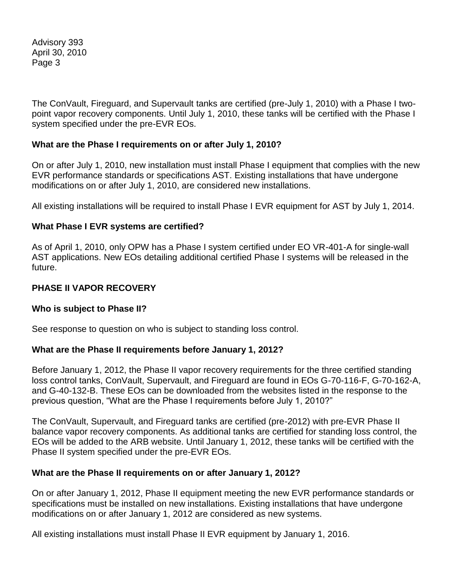The ConVault, Fireguard, and Supervault tanks are certified (pre-July 1, 2010) with a Phase I twopoint vapor recovery components. Until July 1, 2010, these tanks will be certified with the Phase I system specified under the pre-EVR EOs.

#### **What are the Phase I requirements on or after July 1, 2010?**

On or after July 1, 2010, new installation must install Phase I equipment that complies with the new EVR performance standards or specifications AST. Existing installations that have undergone modifications on or after July 1, 2010, are considered new installations.

All existing installations will be required to install Phase I EVR equipment for AST by July 1, 2014.

#### **What Phase I EVR systems are certified?**

As of April 1, 2010, only OPW has a Phase I system certified under EO VR-401-A for single-wall AST applications. New EOs detailing additional certified Phase I systems will be released in the future.

#### **PHASE II VAPOR RECOVERY**

#### **Who is subject to Phase II?**

See response to question on who is subject to standing loss control.

#### **What are the Phase II requirements before January 1, 2012?**

Before January 1, 2012, the Phase II vapor recovery requirements for the three certified standing loss control tanks, ConVault, Supervault, and Fireguard are found in EOs G-70-116-F, G-70-162-A, and G-40-132-B. These EOs can be downloaded from the websites listed in the response to the previous question, "What are the Phase I requirements before July 1, 2010?"

The ConVault, Supervault, and Fireguard tanks are certified (pre-2012) with pre-EVR Phase II balance vapor recovery components. As additional tanks are certified for standing loss control, the EOs will be added to the ARB website. Until January 1, 2012, these tanks will be certified with the Phase II system specified under the pre-EVR EOs.

#### **What are the Phase II requirements on or after January 1, 2012?**

On or after January 1, 2012, Phase II equipment meeting the new EVR performance standards or specifications must be installed on new installations. Existing installations that have undergone modifications on or after January 1, 2012 are considered as new systems.

All existing installations must install Phase II EVR equipment by January 1, 2016.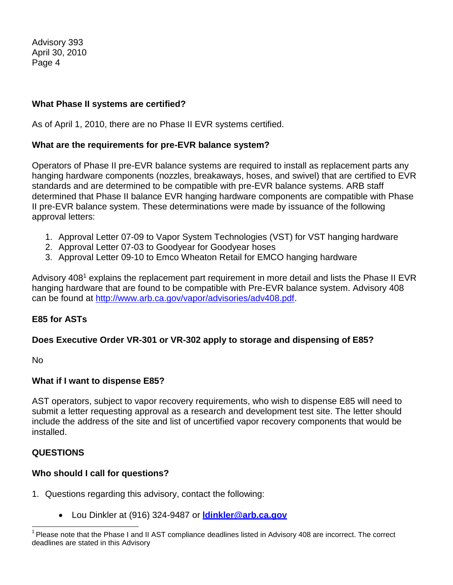#### **What Phase II systems are certified?**

As of April 1, 2010, there are no Phase II EVR systems certified.

#### **What are the requirements for pre-EVR balance system?**

Operators of Phase II pre-EVR balance systems are required to install as replacement parts any hanging hardware components (nozzles, breakaways, hoses, and swivel) that are certified to EVR standards and are determined to be compatible with pre-EVR balance systems. ARB staff determined that Phase II balance EVR hanging hardware components are compatible with Phase II pre-EVR balance system. These determinations were made by issuance of the following approval letters:

- 1. Approval Letter 07-09 to Vapor System Technologies (VST) for VST hanging hardware
- 2. Approval Letter 07-03 to Goodyear for Goodyear hoses
- 3. Approval Letter 09-10 to Emco Wheaton Retail for EMCO hanging hardware

Advisory 408<sup>1</sup> explains the replacement part requirement in more detail and lists the Phase II EVR hanging hardware that are found to be compatible with Pre-EVR balance system. Advisory 408 can be found at [http://www.arb.ca.gov/vapor/advisories/adv408.pdf.](http://www.arb.ca.gov/vapor/advisories/adv408.pdf)

#### **E85 for ASTs**

#### **Does Executive Order VR-301 or VR-302 apply to storage and dispensing of E85?**

No

#### **What if I want to dispense E85?**

AST operators, subject to vapor recovery requirements, who wish to dispense E85 will need to submit a letter requesting approval as a research and development test site. The letter should include the address of the site and list of uncertified vapor recovery components that would be installed.

#### **QUESTIONS**

#### **Who should I call for questions?**

- 1. Questions regarding this advisory, contact the following:
	- Lou Dinkler at (916) 324-9487 or **[ldinkler@arb.ca.gov](mailto:ldinkler@arb.ca.gov)**

 $1$  Please note that the Phase I and II AST compliance deadlines listed in Advisory 408 are incorrect. The correct deadlines are stated in this Advisory